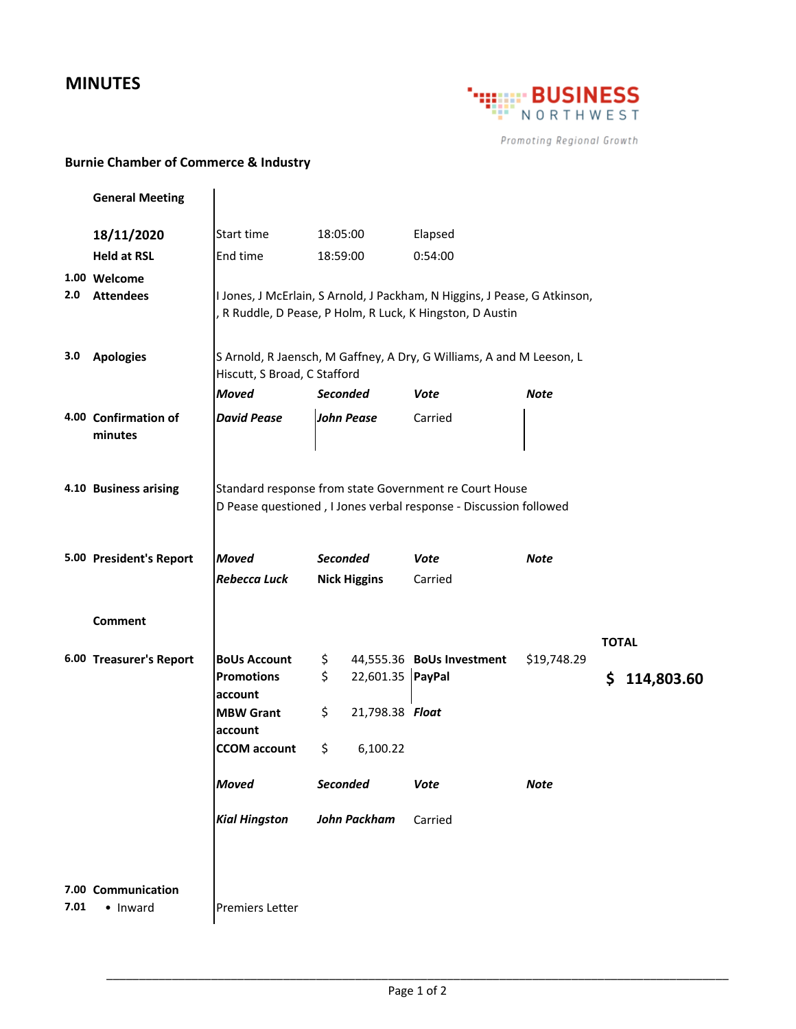## **MINUTES**



Promoting Regional Growth

## **Burnie Chamber of Commerce & Industry**

| Elapsed<br>18/11/2020<br>Start time<br>18:05:00                                                                  |                                                                      |  |  |
|------------------------------------------------------------------------------------------------------------------|----------------------------------------------------------------------|--|--|
| <b>Held at RSL</b><br>End time<br>18:59:00<br>0:54:00                                                            |                                                                      |  |  |
| 1.00 Welcome                                                                                                     |                                                                      |  |  |
| 2.0<br><b>Attendees</b><br>I Jones, J McErlain, S Arnold, J Packham, N Higgins, J Pease, G Atkinson,             |                                                                      |  |  |
| R Ruddle, D Pease, P Holm, R Luck, K Hingston, D Austin                                                          |                                                                      |  |  |
| 3.0<br><b>Apologies</b>                                                                                          |                                                                      |  |  |
| Hiscutt, S Broad, C Stafford                                                                                     | S Arnold, R Jaensch, M Gaffney, A Dry, G Williams, A and M Leeson, L |  |  |
| <b>Moved</b><br><b>Seconded</b><br><b>Note</b><br>Vote                                                           |                                                                      |  |  |
| <b>David Pease</b><br><b>John Pease</b><br>4.00 Confirmation of<br>Carried                                       |                                                                      |  |  |
| minutes                                                                                                          |                                                                      |  |  |
|                                                                                                                  |                                                                      |  |  |
| 4.10 Business arising<br>Standard response from state Government re Court House                                  |                                                                      |  |  |
| D Pease questioned, I Jones verbal response - Discussion followed                                                |                                                                      |  |  |
|                                                                                                                  |                                                                      |  |  |
| <b>Seconded</b><br>5.00 President's Report<br><b>Moved</b><br><b>Vote</b><br><b>Note</b>                         |                                                                      |  |  |
| Rebecca Luck<br><b>Nick Higgins</b><br>Carried                                                                   |                                                                      |  |  |
|                                                                                                                  |                                                                      |  |  |
| Comment                                                                                                          |                                                                      |  |  |
| <b>TOTAL</b><br>6.00 Treasurer's Report<br><b>BoUs Account</b><br>44,555.36 BoUs Investment<br>\$19,748.29<br>\$ |                                                                      |  |  |
| \$<br>22,601.35 PayPal<br><b>Promotions</b><br>\$                                                                | 114,803.60                                                           |  |  |
| account                                                                                                          |                                                                      |  |  |
| \$<br>21,798.38 Float<br><b>MBW Grant</b>                                                                        |                                                                      |  |  |
| account<br>\$<br>6,100.22<br><b>CCOM</b> account                                                                 |                                                                      |  |  |
|                                                                                                                  |                                                                      |  |  |
| Seconded<br><b>Moved</b><br><b>Vote</b><br><b>Note</b>                                                           |                                                                      |  |  |
| <b>Kial Hingston</b><br>John Packham<br>Carried                                                                  |                                                                      |  |  |
|                                                                                                                  |                                                                      |  |  |
|                                                                                                                  |                                                                      |  |  |
| 7.00 Communication                                                                                               |                                                                      |  |  |
| 7.01<br>• Inward<br><b>Premiers Letter</b>                                                                       |                                                                      |  |  |